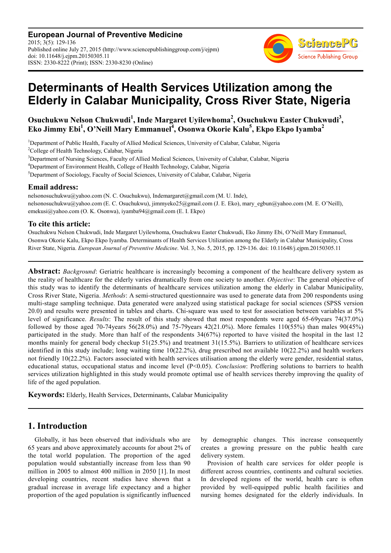**European Journal of Preventive Medicine** 2015; 3(5): 129-136 Published online July 27, 2015 (http://www.sciencepublishinggroup.com/j/ejpm) doi: 10.11648/j.ejpm.20150305.11 ISSN: 2330-8222 (Print); ISSN: 2330-8230 (Online)



# **Determinants of Health Services Utilization among the Elderly in Calabar Municipality, Cross River State, Nigeria**

**Osuchukwu Nelson Chukwudi<sup>1</sup> , Inde Margaret Uyilewhoma<sup>2</sup> , Osuchukwu Easter Chukwudi<sup>3</sup> , Eko Jimmy Ebi<sup>1</sup> , O'Neill Mary Emmanuel<sup>4</sup> , Osonwa Okorie Kalu<sup>5</sup> , Ekpo Ekpo Iyamba<sup>2</sup>**

<sup>1</sup>Department of Public Health, Faculty of Allied Medical Sciences, University of Calabar, Calabar, Nigeria

<sup>2</sup>College of Health Technology, Calabar, Nigeria

<sup>3</sup>Department of Nursing Sciences, Faculty of Allied Medical Sciences, University of Calabar, Calabar, Nigeria

<sup>4</sup>Department of Environment Health, College of Health Technology, Calabar, Nigeria

<sup>5</sup>Department of Sociology, Faculty of Social Sciences, University of Calabar, Calabar, Nigeria

#### **Email address:**

nelsonosuchukwu@yahoo.com (N. C. Osuchukwu), Indemargaret@gmail.com (M. U. Inde), nelsonosuchukwu@yahoo.com (E. C. Osuchukwu), jimmyeko25@gmail.com (J. E. Eko), mary\_egbun@yahoo.com (M. E. O'Neill), emekusi@yahoo.com (O. K. Osonwa), iyamba94@gmail.com (E. I. Ekpo)

### **To cite this article:**

Osuchukwu Nelson Chukwudi, Inde Margaret Uyilewhoma, Osuchukwu Easter Chukwudi, Eko Jimmy Ebi, O'Neill Mary Emmanuel, Osonwa Okorie Kalu, Ekpo Ekpo Iyamba. Determinants of Health Services Utilization among the Elderly in Calabar Municipality, Cross River State, Nigeria. *European Journal of Preventive Medicine*. Vol. 3, No. 5, 2015, pp. 129-136. doi: 10.11648/j.ejpm.20150305.11

**Abstract:** *Background*: Geriatric healthcare is increasingly becoming a component of the healthcare delivery system as the reality of healthcare for the elderly varies dramatically from one society to another. *Objective*: The general objective of this study was to identify the determinants of healthcare services utilization among the elderly in Calabar Municipality, Cross River State, Nigeria. *Methods*: A semi-structured questionnaire was used to generate data from 200 respondents using multi-stage sampling technique. Data generated were analyzed using statistical package for social sciences (SPSS version 20.0) and results were presented in tables and charts. Chi-square was used to test for association between variables at 5% level of significance. *Results*: The result of this study showed that most respondents were aged 65-69years 74(37.0%) followed by those aged 70-74years 56(28.0%) and 75-79years 42(21.0%). More females 110(55%) than males 90(45%) participated in the study. More than half of the respondents 34(67%) reported to have visited the hospital in the last 12 months mainly for general body checkup 51(25.5%) and treatment 31(15.5%). Barriers to utilization of healthcare services identified in this study include; long waiting time  $10(22.2\%)$ , drug prescribed not available  $10(22.2\%)$  and health workers not friendly 10(22.2%). Factors associated with health services utilisation among the elderly were gender, residential status, educational status, occupational status and income level (P<0.05). *Conclusion*: Proffering solutions to barriers to health services utilization highlighted in this study would promote optimal use of health services thereby improving the quality of life of the aged population.

**Keywords:** Elderly, Health Services, Determinants, Calabar Municipality

# **1. Introduction**

Globally, it has been observed that individuals who are 65 years and above approximately accounts for about 2% of the total world population. The proportion of the aged population would substantially increase from less than 90 million in 2005 to almost 400 million in 2050 [1]. In most developing countries, recent studies have shown that a gradual increase in average life expectancy and a higher proportion of the aged population is significantly influenced by demographic changes. This increase consequently creates a growing pressure on the public health care delivery system.

Provision of health care services for older people is different across countries, continents and cultural societies. In developed regions of the world, health care is often provided by well-equipped public health facilities and nursing homes designated for the elderly individuals. In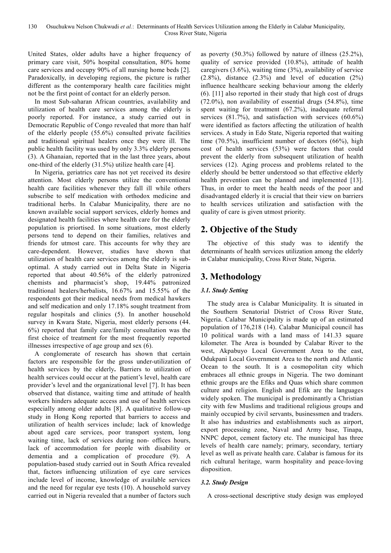United States, older adults have a higher frequency of primary care visit, 50% hospital consultation, 80% home care services and occupy 90% of all nursing home beds [2]. Paradoxically, in developing regions, the picture is rather different as the contemporary health care facilities might not be the first point of contact for an elderly person.

In most Sub-saharan African countries, availability and utilization of health care services among the elderly is poorly reported. For instance, a study carried out in Democratic Republic of Congo revealed that more than half of the elderly people (55.6%) consulted private facilities and traditional spiritual healers once they were ill. The public health facility was used by only 3.3% elderly persons (3). A Ghanaian, reported that in the last three years, about one-third of the elderly (31.5%) utilize health care [4].

In Nigeria, geriatrics care has not yet received its desire attention. Most elderly persons utilize the conventional health care facilities whenever they fall ill while others subscribe to self medication with orthodox medicine and traditional herbs. In Calabar Municipality, there are no known available social support services, elderly homes and designated health facilities where health care for the elderly population is priortised. In some situations, most elderly persons tend to depend on their families, relatives and friends for utmost care. This accounts for why they are care-dependent. However, studies have shown that utilization of health care services among the elderly is suboptimal. A study carried out in Delta State in Nigeria reported that about 40.56% of the elderly patronized chemists and pharmacist's shop, 19.44% patronized traditional healers/herbalists, 16.67% and 15.55% of the respondents got their medical needs from medical hawkers and self medication and only 17.18% sought treatment from regular hospitals and clinics (5). In another household survey in Kwara State, Nigeria, most elderly persons (44. 6%) reported that family care/family consultation was the first choice of treatment for the most frequently reported illnesses irrespective of age group and sex (6).

A conglomerate of research has shown that certain factors are responsible for the gross under-utilization of health services by the elderly**.** Barriers to utilization of health services could occur at the patient's level, health care provider's level and the organizational level [7]. It has been observed that distance, waiting time and attitude of health workers hinders adequate access and use of health services especially among older adults [8]. A qualitative follow-up study in Hong Kong reported that barriers to access and utilization of health services include; lack of knowledge about aged care services, poor transport system, long waiting time, lack of services during non- offices hours, lack of accommodation for people with disability or dementia and a complication of procedure (9). A population-based study carried out in South Africa revealed that, factors influencing utilization of eye care services include level of income, knowledge of available services and the need for regular eye tests (10). A household survey carried out in Nigeria revealed that a number of factors such as poverty (50.3%) followed by nature of illness (25.2%), quality of service provided (10.8%), attitude of health caregivers (3.6%), waiting time (3%), availability of service  $(2.8\%)$ , distance  $(2.3\%)$  and level of education  $(2\%)$ influence healthcare seeking behaviour among the elderly (6). [11] also reported in their study that high cost of drugs (72.0%), non availability of essential drugs (54.8%), time spent waiting for treatment (67.2%), inadequate referral services (81.7%), and satisfaction with services (60.6%) were identified as factors affecting the utilization of health services. A study in Edo State, Nigeria reported that waiting time (70.5%), insufficient number of doctors (66%), high cost of health services (53%) were factors that could prevent the elderly from subsequent utilization of health services (12). Aging process and problems related to the elderly should be better understood so that effective elderly health prevention can be planned and implemented [13]. Thus, in order to meet the health needs of the poor and disadvantaged elderly it is crucial that their view on barriers to health services utilization and satisfaction with the quality of care is given utmost priority.

# **2. Objective of the Study**

The objective of this study was to identify the determinants of health services utilization among the elderly in Calabar municipality, Cross River State, Nigeria.

# **3. Methodology**

## *3.1. Study Setting*

The study area is Calabar Municipality. It is situated in the Southern Senatorial District of Cross River State, Nigeria. Calabar Municipality is made up of an estimated population of 176,218 (14). Calabar Municipal council has 10 political wards with a land mass of 141.33 square kilometer. The Area is bounded by Calabar River to the west, Akpabuyo Local Government Area to the east, Odukpani Local Government Area to the north and Atlantic Ocean to the south. It is a cosmopolitan city which embraces all ethnic groups in Nigeria. The two dominant ethnic groups are the Efiks and Quas which share common culture and religion. English and Efik are the languages widely spoken. The municipal is predominantly a Christian city with few Muslims and traditional religious groups and mainly occupied by civil servants, businessmen and traders. It also has industries and establishments such as airport, export processing zone, Naval and Army base, Tinapa, NNPC depot, cement factory etc. The municipal has three levels of health care namely; primary, secondary, tertiary level as well as private health care. Calabar is famous for its rich cultural heritage, warm hospitality and peace-loving disposition.

## *3.2. Study Design*

A cross-sectional descriptive study design was employed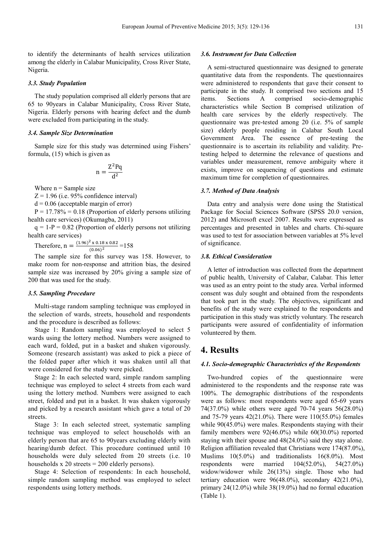to identify the determinants of health services utilization among the elderly in Calabar Municipality, Cross River State, Nigeria.

#### *3.3. Study Population*

The study population comprised all elderly persons that are 65 to 90years in Calabar Municipality, Cross River State, Nigeria. Elderly persons with hearing defect and the dumb were excluded from participating in the study.

#### *3.4. Sample Size Determination*

Sample size for this study was determined using Fishers' formula, (15) which is given as

$$
n = \frac{Z^2 P q}{d^2}
$$

Where  $n =$  Sample size

 $Z = 1.96$  (i.e. 95% confidence interval)

 $d = 0.06$  (acceptable margin of error)

 $P = 17.78\% = 0.18$  (Proportion of elderly persons utilizing health care services) (Okumagba, 2011)

 $q = 1-P = 0.82$  (Proportion of elderly persons not utilizing health care services)

Therefore,  $n = \frac{(1.96)^2 \times 0.18 \times 0.82}{(0.06)^2} = 158$  $(0.06)$ <sup>2</sup>

The sample size for this survey was 158. However, to make room for non-response and attrition bias, the desired sample size was increased by 20% giving a sample size of 200 that was used for the study.

#### *3.5. Sampling Procedure*

Multi-stage random sampling technique was employed in the selection of wards, streets, household and respondents and the procedure is described as follows:

Stage 1: Random sampling was employed to select 5 wards using the lottery method. Numbers were assigned to each ward, folded, put in a basket and shaken vigorously. Someone (research assistant) was asked to pick a piece of the folded paper after which it was shaken until all that were considered for the study were picked.

Stage 2: In each selected ward, simple random sampling technique was employed to select 4 streets from each ward using the lottery method. Numbers were assigned to each street, folded and put in a basket. It was shaken vigorously and picked by a research assistant which gave a total of 20 streets.

Stage 3: In each selected street, systematic sampling technique was employed to select households with an elderly person that are 65 to 90years excluding elderly with hearing/dumb defect. This procedure continued until 10 households were duly selected from 20 streets (i.e. 10 households x 20 streets = 200 elderly persons).

Stage 4: Selection of respondents: In each household, simple random sampling method was employed to select respondents using lottery methods.

#### *3.6. Instrument for Data Collection*

A semi-structured questionnaire was designed to generate quantitative data from the respondents. The questionnaires were administered to respondents that gave their consent to participate in the study. It comprised two sections and 15 items. Sections A comprised socio-demographic characteristics while Section B comprised utilization of health care services by the elderly respectively. The questionnaire was pre-tested among 20 (i.e. 5% of sample size) elderly people residing in Calabar South Local Government Area. The essence of pre-testing the questionnaire is to ascertain its reliability and validity. Pretesting helped to determine the relevance of questions and variables under measurement, remove ambiguity where it exists, improve on sequencing of questions and estimate maximum time for completion of questionnaires.

#### *3.7. Method of Data Analysis*

Data entry and analysis were done using the Statistical Package for Social Sciences Software (SPSS 20.0 version, 2012) and Microsoft excel 2007. Results were expressed as percentages and presented in tables and charts. Chi-square was used to test for association between variables at 5% level of significance.

#### *3.8. Ethical Consideration*

A letter of introduction was collected from the department of public health, University of Calabar, Calabar. This letter was used as an entry point to the study area. Verbal informed consent was duly sought and obtained from the respondents that took part in the study. The objectives, significant and benefits of the study were explained to the respondents and participation in this study was strictly voluntary. The research participants were assured of confidentiality of information volunteered by them.

## **4. Results**

#### *4.1. Socio-demographic Characteristics of the Respondents*

Two-hundred copies of the questionnaire were administered to the respondents and the response rate was 100%. The demographic distributions of the respondents were as follows: most respondents were aged 65-69 years 74(37.0%) while others were aged 70-74 years 56(28.0%) and 75-79 years 42(21.0%). There were 110(55.0%) females while  $90(45.0%)$  were males. Respondents staying with their family members were 92(46.0%) while 60(30.0%) reported staying with their spouse and 48(24.0%) said they stay alone. Religion affiliation revealed that Christians were 174(87.0%), Muslims 10(5.0%) and traditionalists 16(8.0%). Most respondents were married 104(52.0%), 54(27.0%) widow/widower while 26(13%) single. Those who had tertiary education were 96(48.0%), secondary 42(21.0%), primary 24(12.0%) while 38(19.0%) had no formal education (Table 1).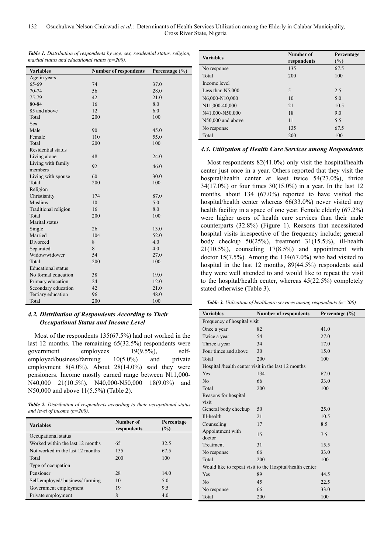*Table 1. Distribution of respondents by age, sex, residential status, religion, marital status and educational status (n=200).* 

| <b>Variables</b>          | <b>Number of respondents</b> | Percentage (%) |
|---------------------------|------------------------------|----------------|
| Age in years              |                              |                |
| 65-69                     | 74                           | 37.0           |
| 70-74                     | 56                           | 28.0           |
| 75-79                     | 42                           | 21.0           |
| 80-84                     | 16                           | 8.0            |
| 85 and above              | 12                           | 6.0            |
| Total                     | 200                          | 100            |
| <b>Sex</b>                |                              |                |
| Male                      | 90                           | 45.0           |
| Female                    | 110                          | 55.0           |
| Total                     | 200                          | 100            |
| Residential status        |                              |                |
| Living alone              | 48                           | 24.0           |
| Living with family        | 92                           | 46.0           |
| members                   |                              |                |
| Living with spouse        | 60                           | 30.0           |
| Total                     | 200                          | 100            |
| Religion                  |                              |                |
| Christianity              | 174                          | 87.0           |
| Muslims                   | 10                           | 5.0            |
| Traditional religion      | 16                           | 8.0            |
| Total                     | 200                          | 100            |
| Marital status            |                              |                |
| Single                    | 26                           | 13.0           |
| Married                   | 104                          | 52.0           |
| Divorced                  | 8                            | 4.0            |
| Separated                 | 8                            | 4.0            |
| Widow/widower             | 54                           | 27.0           |
| Total                     | 200                          | 100            |
| <b>Educational</b> status |                              |                |
| No formal education       | 38                           | 19.0           |
| Primary education         | 24                           | 12.0           |
| Secondary education       | 42                           | 21.0           |
| Tertiary education        | 96                           | 48.0           |
| Total                     | 200                          | 100            |

#### *4.2. Distribution of Respondents According to Their Occupational Status and Income Level*

Most of the respondents 135(67.5%) had not worked in the last 12 months. The remaining 65(32.5%) respondents were government employees 19(9.5%), selfemployed/business/farming 10(5.0%) and private employment 8(4.0%). About 28(14.0%) said they were pensioners. Income mostly earned range between N11,000- N40,000 21(10.5%), N40,000-N50,000 18(9.0%) and N50,000 and above 11(5.5%) (Table 2).

*Table 2. Distribution of respondents according to their occupational status and level of income (n=200).* 

| <b>Variables</b>                 | Number of<br>respondents | Percentage<br>$\frac{9}{6}$ |  |  |
|----------------------------------|--------------------------|-----------------------------|--|--|
| Occupational status              |                          |                             |  |  |
| Worked within the last 12 months | 65                       | 32.5                        |  |  |
| Not worked in the last 12 months | 135                      | 67.5                        |  |  |
| Total                            | 200                      | 100                         |  |  |
| Type of occupation               |                          |                             |  |  |
| Pensioner                        | 28                       | 14.0                        |  |  |
| Self-employed/business/farming   | 10                       | 5.0                         |  |  |
| Government employment            | 19                       | 9.5                         |  |  |
| Private employment               | 8                        | 4.0                         |  |  |

| <b>Variables</b>   | Number of<br>respondents | Percentage<br>$(\%)$ |
|--------------------|--------------------------|----------------------|
| No response        | 135                      | 67.5                 |
| Total              | 200                      | 100                  |
| Income level       |                          |                      |
| Less than $N5,000$ | 5                        | 2.5                  |
| N6,000-N10,000     | 10                       | 5.0                  |
| N11,000-40,000     | 21                       | 10.5                 |
| N41,000-N50,000    | 18                       | 9.0                  |
| N50,000 and above  | 11                       | 5.5                  |
| No response        | 135                      | 67.5                 |
| Total              | 200                      | 100                  |

#### *4.3. Utilization of Health Care Services among Respondents*

Most respondents 82(41.0%) only visit the hospital/health center just once in a year. Others reported that they visit the hospital/health center at least twice 54(27.0%), thrice 34(17.0%) or four times 30(15.0%) in a year. In the last 12 months, about 134 (67.0%) reported to have visited the hospital/health center whereas 66(33.0%) never visited any health facility in a space of one year. Female elderly  $(67.2\%)$ were higher users of health care services than their male counterparts (32.8%) (Figure 1). Reasons that necessitated hospital visits irrespective of the frequency include; general body checkup 50(25%), treatment 31(15.5%), ill-health  $21(10.5\%)$ , counseling  $17(8.5\%)$  and appointment with doctor 15(7.5%). Among the 134(67.0%) who had visited to hospital in the last 12 months, 89(44.5%) respondents said they were well attended to and would like to repeat the visit to the hospital/health center, whereas 45(22.5%) completely stated otherwise (Table 3).

*Table 3. Utilization of healthcare services among respondents (n=200).* 

| <b>Variables</b>                                         | <b>Number of respondents</b>                        | Percentage $(\% )$ |  |  |  |
|----------------------------------------------------------|-----------------------------------------------------|--------------------|--|--|--|
| Frequency of hospital visit                              |                                                     |                    |  |  |  |
| Once a year                                              | 82                                                  | 41.0               |  |  |  |
| Twice a year                                             | 54                                                  | 27.0               |  |  |  |
| Thrice a year                                            | 34                                                  | 17.0               |  |  |  |
| Four times and above                                     | 30                                                  | 15.0               |  |  |  |
| Total                                                    | 200                                                 | 100                |  |  |  |
|                                                          | Hospital /health center visit in the last 12 months |                    |  |  |  |
| Yes                                                      | 134                                                 | 67.0               |  |  |  |
| N <sub>o</sub>                                           | 66                                                  | 33.0               |  |  |  |
| Total                                                    | 200                                                 | 100                |  |  |  |
| Reasons for hospital                                     |                                                     |                    |  |  |  |
| visit                                                    |                                                     |                    |  |  |  |
| General body checkup                                     | 50                                                  | 25.0               |  |  |  |
| Ill-health                                               | 21                                                  | 10.5               |  |  |  |
| Counseling                                               | 17                                                  | 8.5                |  |  |  |
| Appointment with<br>doctor                               | 15                                                  | 7.5                |  |  |  |
| Treatment                                                | 31                                                  | 15.5               |  |  |  |
| No response                                              | 66                                                  | 33.0               |  |  |  |
| Total                                                    | 200                                                 | 100                |  |  |  |
| Would like to repeat visit to the Hospital/health center |                                                     |                    |  |  |  |
| Yes                                                      | 89                                                  | 44.5               |  |  |  |
| N <sub>o</sub>                                           | 45                                                  | 22.5               |  |  |  |
| No response                                              | 66                                                  | 33.0               |  |  |  |
| Total                                                    | 200                                                 | 100                |  |  |  |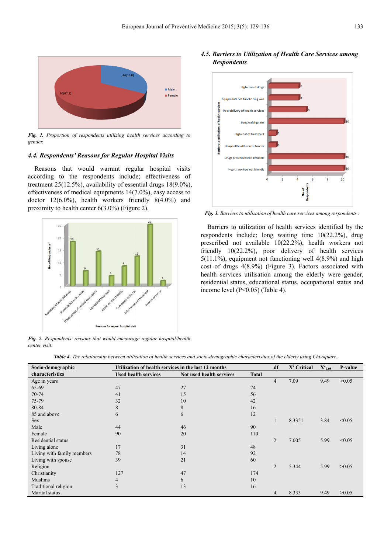

*Fig. 1. Proportion of respondents utilizing health services according to gender.* 

#### *4.4. Respondents' Reasons for Regular Hospital Visits*

Reasons that would warrant regular hospital visits according to the respondents include; effectiveness of treatment 25(12.5%), availability of essential drugs 18(9.0%), effectiveness of medical equipments 14(7.0%), easy access to doctor 12(6.0%), health workers friendly 8(4.0%) and proximity to health center 6(3.0%) (Figure 2).



*Fig. 2. Respondents' reasons that would encourage regular hospital/health center visit.* 





*Fig. 3. Barriers to utilization of health care services among respondents .* 

Barriers to utilization of health services identified by the respondents include; long waiting time 10(22.2%), drug prescribed not available 10(22.2%), health workers not friendly 10(22.2%), poor delivery of health services 5(11.1%), equipment not functioning well 4(8.9%) and high cost of drugs 4(8.9%) (Figure 3). Factors associated with health services utilisation among the elderly were gender, residential status, educational status, occupational status and income level (P<0.05) (Table 4).

|  |  | Table 4. The relationship between utilization of health services and socio-demographic characteristics of the elderly using Chi-square. |
|--|--|-----------------------------------------------------------------------------------------------------------------------------------------|
|  |  |                                                                                                                                         |

| Socio-demographic          | Utilization of health services in the last 12 months |                          |              | df             | $X^2$ Critical | $\mathbf{X}^2$ <sub>0.05</sub> | P-value |
|----------------------------|------------------------------------------------------|--------------------------|--------------|----------------|----------------|--------------------------------|---------|
| characteristics            | <b>Used health services</b>                          | Not used health services | <b>Total</b> |                |                |                                |         |
| Age in years               |                                                      |                          |              | 4              | 7.09           | 9.49                           | >0.05   |
| 65-69                      | 47                                                   | 27                       | 74           |                |                |                                |         |
| 70-74                      | 41                                                   | 15                       | 56           |                |                |                                |         |
| 75-79                      | 32                                                   | 10                       | 42           |                |                |                                |         |
| 80-84                      | 8                                                    | 8                        | 16           |                |                |                                |         |
| 85 and above               | 6                                                    | 6                        | 12           |                |                |                                |         |
| <b>Sex</b>                 |                                                      |                          |              |                | 8.3351         | 3.84                           | < 0.05  |
| Male                       | 44                                                   | 46                       | 90           |                |                |                                |         |
| Female                     | 90                                                   | 20                       | 110          |                |                |                                |         |
| Residential status         |                                                      |                          |              | $\overline{2}$ | 7.005          | 5.99                           | < 0.05  |
| Living alone               | 17                                                   | 31                       | 48           |                |                |                                |         |
| Living with family members | 78                                                   | 14                       | 92           |                |                |                                |         |
| Living with spouse         | 39                                                   | 21                       | 60           |                |                |                                |         |
| Religion                   |                                                      |                          |              | $\overline{2}$ | 5.344          | 5.99                           | >0.05   |
| Christianity               | 127                                                  | 47                       | 174          |                |                |                                |         |
| Muslims                    | 4                                                    | 6                        | 10           |                |                |                                |         |
| Traditional religion       | 3                                                    | 13                       | 16           |                |                |                                |         |
| Marital status             |                                                      |                          |              | 4              | 8.333          | 9.49                           | >0.05   |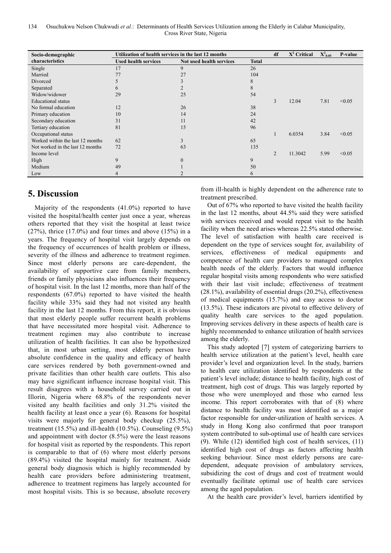| Socio-demographic                | Utilization of health services in the last 12 months |                          |              |   | $X^2$ Critical | $\textbf{X}^2{}_{0.05}$ | P-value |
|----------------------------------|------------------------------------------------------|--------------------------|--------------|---|----------------|-------------------------|---------|
| characteristics                  | <b>Used health services</b>                          | Not used health services | <b>Total</b> |   |                |                         |         |
| Single                           | 17                                                   | 9                        | 26           |   |                |                         |         |
| Married                          | 77                                                   | 27                       | 104          |   |                |                         |         |
| Divorced                         |                                                      |                          | 8            |   |                |                         |         |
| Separated                        | $\sigma$                                             |                          | 8            |   |                |                         |         |
| Widow/widower                    | 29                                                   | 25                       | 54           |   |                |                         |         |
| <b>Educational</b> status        |                                                      |                          |              | 3 | 12.04          | 7.81                    | < 0.05  |
| No formal education              | 12                                                   | 26                       | 38           |   |                |                         |         |
| Primary education                | 10                                                   | 14                       | 24           |   |                |                         |         |
| Secondary education              | 31                                                   | 11                       | 42           |   |                |                         |         |
| Tertiary education               | 81                                                   | 15                       | 96           |   |                |                         |         |
| Occupational status              |                                                      |                          |              |   | 6.0354         | 3.84                    | < 0.05  |
| Worked within the last 12 months | 62                                                   | 3                        | 65           |   |                |                         |         |
| Not worked in the last 12 months | 72                                                   | 63                       | 135          |   |                |                         |         |
| Income level                     |                                                      |                          |              | 2 | 11.3042        | 5.99                    | < 0.05  |
| High                             | 9                                                    |                          | 9            |   |                |                         |         |
| Medium                           | 49                                                   |                          | 50           |   |                |                         |         |
| Low                              |                                                      |                          | 6            |   |                |                         |         |

# **5. Discussion**

Majority of the respondents (41.0%) reported to have visited the hospital/health center just once a year, whereas others reported that they visit the hospital at least twice  $(27\%)$ , thrice  $(17.0\%)$  and four times and above  $(15\%)$  in a years. The frequency of hospital visit largely depends on the frequency of occurrences of health problem or illness, severity of the illness and adherence to treatment regimen. Since most elderly persons are care-dependent, the availability of supportive care from family members, friends or family physicians also influences their frequency of hospital visit. In the last 12 months, more than half of the respondents (67.0%) reported to have visited the health facility while 33% said they had not visited any health facility in the last 12 months. From this report, it is obvious that most elderly people suffer recurrent health problems that have necessitated more hospital visit. Adherence to treatment regimen may also contribute to increase utilization of health facilities. It can also be hypothesized that, in most urban setting, most elderly person have absolute confidence in the quality and efficacy of health care services rendered by both government-owned and private facilities than other health care outlets. This also may have significant influence increase hospital visit. This result disagrees with a household survey carried out in Illorin, Nigeria where 68.8% of the respondents never visited any health facilities and only 31.2% visited the health facility at least once a year (6). Reasons for hospital visits were majorly for general body checkup (25.5%), treatment (15.5%) and ill-health (10.5%). Counseling (9.5%) and appointment with doctor (8.5%) were the least reasons for hospital visit as reported by the respondents. This report is comparable to that of (6) where most elderly persons (89.4%) visited the hospital mainly for treatment. Aside general body diagnosis which is highly recommended by health care providers before administering treatment, adherence to treatment regimens has largely accounted for most hospital visits. This is so because, absolute recovery

from ill-health is highly dependent on the adherence rate to treatment prescribed.

Out of 67% who reported to have visited the health facility in the last 12 months, about 44.5% said they were satisfied with services received and would repeat visit to the health facility when the need arises whereas 22.5% stated otherwise. The level of satisfaction with health care received is dependent on the type of services sought for, availability of services, effectiveness of medical equipments and competence of health care providers to managed complex health needs of the elderly. Factors that would influence regular hospital visits among respondents who were satisfied with their last visit include; effectiveness of treatment (28.1%), availability of essential drugs (20.2%), effectiveness of medical equipments (15.7%) and easy access to doctor (13.5%). These indicators are pivotal to effective delivery of quality health care services to the aged population. Improving services delivery in these aspects of health care is highly recommended to enhance utilization of health services among the elderly.

This study adopted [7] system of categorizing barriers to health service utilization at the patient's level, health care provider's level and organization level. In the study, barriers to health care utilization identified by respondents at the patient's level include; distance to health facility, high cost of treatment, high cost of drugs. This was largely reported by those who were unemployed and those who earned less income. This report corroborates with that of (8) where distance to health facility was most identified as a major factor responsible for under-utilization of health services. A study in Hong Kong also confirmed that poor transport system contributed to sub-optimal use of health care services (9). While (12) identified high cost of health services, (11) identified high cost of drugs as factors affecting health seeking behaviour. Since most elderly persons are caredependent, adequate provision of ambulatory services, subsidizing the cost of drugs and cost of treatment would eventually facilitate optimal use of health care services among the aged population.

At the health care provider's level, barriers identified by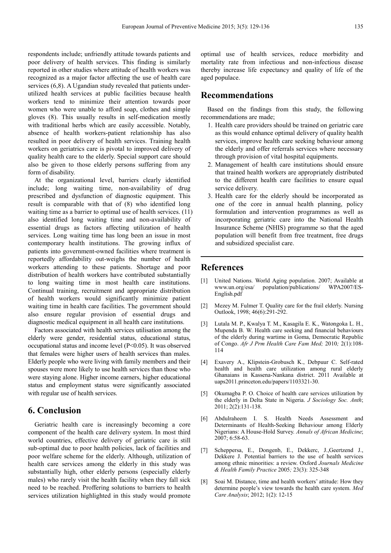respondents include; unfriendly attitude towards patients and poor delivery of health services. This finding is similarly reported in other studies where attitude of health workers was recognized as a major factor affecting the use of health care services (6,8). A Ugandian study revealed that patients underutilized health services at public facilities because health workers tend to minimize their attention towards poor women who were unable to afford soap, clothes and simple gloves (8). This usually results in self-medication mostly with traditional herbs which are easily accessible. Notably, absence of health workers-patient relationship has also resulted in poor delivery of health services. Training health workers on geriatrics care is pivotal to improved delivery of quality health care to the elderly. Special support care should also be given to those elderly persons suffering from any form of disability.

At the organizational level, barriers clearly identified include; long waiting time, non-availability of drug prescribed and dysfunction of diagnostic equipment. This result is comparable with that of (8) who identified long waiting time as a barrier to optimal use of health services. (11) also identified long waiting time and non-availability of essential drugs as factors affecting utilization of health services. Long waiting time has long been an issue in most contemporary health institutions. The growing influx of patients into government-owned facilities where treatment is reportedly affordability out-weighs the number of health workers attending to these patients. Shortage and poor distribution of health workers have contributed substantially to long waiting time in most health care institutions. Continual training, recruitment and appropriate distribution of health workers would significantly minimize patient waiting time in health care facilities. The government should also ensure regular provision of essential drugs and diagnostic medical equipment in all health care institutions.

Factors associated with health services utilisation among the elderly were gender, residential status, educational status, occupational status and income level (P<0.05). It was observed that females were higher users of health services than males. Elderly people who were living with family members and their spouses were more likely to use health services than those who were staying alone. Higher income earners, higher educational status and employment status were significantly associated with regular use of health services.

# **6. Conclusion**

Geriatric health care is increasingly becoming a core component of the health care delivery system. In most third world countries, effective delivery of geriatric care is still sub-optimal due to poor health policies, lack of facilities and poor welfare scheme for the elderly. Although, utilization of health care services among the elderly in this study was substantially high, other elderly persons (especially elderly males) who rarely visit the health facility when they fall sick need to be reached. Proffering solutions to barriers to health services utilization highlighted in this study would promote

optimal use of health services, reduce morbidity and mortality rate from infectious and non-infectious disease thereby increase life expectancy and quality of life of the aged populace.

# **Recommendations**

Based on the findings from this study, the following recommendations are made;

- 1. Health care providers should be trained on geriatric care as this would enhance optimal delivery of quality health services, improve health care seeking behaviour among the elderly and offer referrals services where necessary through provision of vital hospital equipments.
- 2. Management of health care institutions should ensure that trained health workers are appropriately distributed to the different health care facilities to ensure equal service delivery.
- 3. Health care for the elderly should be incorporated as one of the core in annual health planning, policy formulation and intervention programmes as well as incorporating geriatric care into the National Health Insurance Scheme (NHIS) programme so that the aged population will benefit from free treatment, free drugs and subsidized specialist care.

## **References**

- [1] United Nations. World Aging population. 2007; Available at www.un.org/esa/ population/publications/ WPA2007/ES-English.pdf
- [2] Mezey M. Fulmer T. Quality care for the frail elderly. Nursing Outlook, 1998; 46(6):291-292.
- [3] Lutala M. P., Kwalya T. M., Kasagila E. K., Watongoka L. H., Mupenda B. W. Health care seeking and financial behaviours of the elderly during wartime in Goma, Democratic Republic of Congo. *Afr J Prm Health Care Fam Med;* 2010*;* 2(1):108- 114
- [4] Exavery A., Klipstein-Grobusch K., Debpuur C. Self-rated health and health care utilization among rural elderly Ghanaians in Kassena-Nankana district. 2011 Available at uaps2011.princeton.edu/papers/1103321-30.
- [5] Okumagba P. O. Choice of health care services utilization by the elderly in Delta State in Nigeria. *J Sociology Soc. Anth*; 2011; 2(2):131-138.
- [6] Abdulraheem I. S. Health Needs Assessment and Determinants of Health-Seeking Behaviour among Elderly Nigerians: A House-Hold Survey. *Annals of African Medicine*; 2007; 6:58-63.
- [7] Scheppersa, E., Dongenb, E., Dekkerc, J.,Geertzend J., Dekkere J. Potential barriers to the use of health services among ethnic minorities: a review. Oxford *Journals Medicine & Health Family Practice* 2005*;* 23(3): 325-348
- [8] Soai M. Distance, time and health workers' attitude: How they determine people's view towards the health care system. *Med Care Analysis*; 2012; 1(2): 12-15